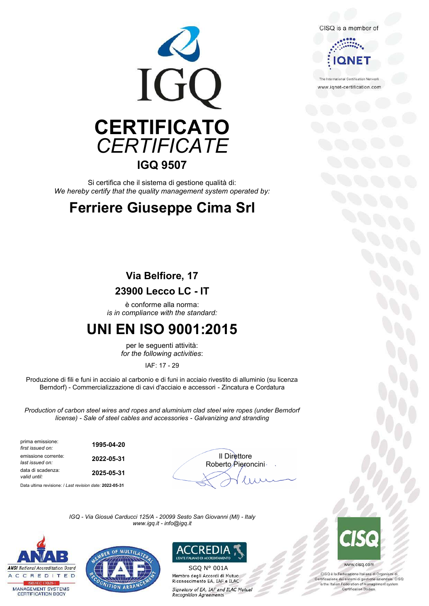

Si certifica che il sistema di gestione qualità di: *We hereby certify that the quality management system operated by:*

## **Ferriere Giuseppe Cima Srl**

### **Via Belfiore, 17**

### **23900 Lecco LC - IT**

è conforme alla norma: *is in compliance with the standard:*

### **UNI EN ISO 9001:2015**

per le seguenti attività: *for the following activities*:

IAF: 17 - 29

Produzione di fili e funi in acciaio al carbonio e di funi in acciaio rivestito di alluminio (su licenza Berndorf) - Commercializzazione di cavi d'acciaio e accessori - Zincatura e Cordatura

*Production of carbon steel wires and ropes and aluminium clad steel wire ropes (under Berndorf license) - Sale of steel cables and accessories - Galvanizing and stranding*

| prima emissione:<br>first issued on:   | 1995-04-20 |                               |
|----------------------------------------|------------|-------------------------------|
| emissione corrente:<br>last issued on: | 2022-05-31 | Il Direttore<br>Roberto Piero |
| data di scadenza:<br>valid until:      | 2025-05-31 |                               |
|                                        |            |                               |

Data ultima revisione: / *Last revision date:* **2022-05-31**



*IGQ - Via Giosuè Carducci 125/A - 20099 Sesto San Giovanni (MI) - Italy www.igq.it - info@igq.it*







SGQ N° 001AMembro degli Accordi di Mutuo Riconoscimento EA, IAF e ILAC Signatory of EA, IAF and ILAC Mutual **Recognition Agreements** 





www.iqnet-certification.com

national Certification Network



www.cisq.com

CISQ è la Federazione Italiana di Organismi di Cisci e la rederazione italiana di Organismi di<br>Certificazione dei sistemi di gestione aziendale. CISQ<br>Is the Italian Federation of management system Certification Bodies